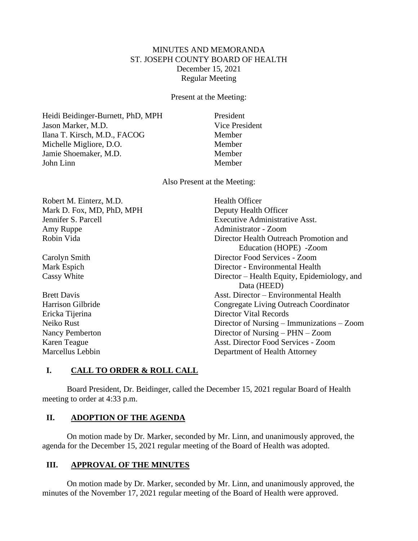# MINUTES AND MEMORANDA ST. JOSEPH COUNTY BOARD OF HEALTH December 15, 2021 Regular Meeting

Present at the Meeting:

Heidi Beidinger-Burnett, PhD, MPH President Jason Marker, M.D. Vice President Ilana T. Kirsch, M.D., FACOG Member Michelle Migliore, D.O. Member Jamie Shoemaker, M.D. Member John Linn Member

Also Present at the Meeting:

| Health Officer                                 |
|------------------------------------------------|
| Deputy Health Officer                          |
| <b>Executive Administrative Asst.</b>          |
| Administrator - Zoom                           |
| Director Health Outreach Promotion and         |
| Education (HOPE) - Zoom                        |
| Director Food Services - Zoom                  |
| Director - Environmental Health                |
| Director – Health Equity, Epidemiology, and    |
| Data (HEED)                                    |
| Asst. Director – Environmental Health          |
| Congregate Living Outreach Coordinator         |
| <b>Director Vital Records</b>                  |
| Director of Nursing $-$ Immunizations $-$ Zoom |
| Director of Nursing $-$ PHN $-$ Zoom           |
| Asst. Director Food Services - Zoom            |
| Department of Health Attorney                  |
|                                                |

# **I. CALL TO ORDER & ROLL CALL**

Board President, Dr. Beidinger, called the December 15, 2021 regular Board of Health meeting to order at 4:33 p.m.

## **II. ADOPTION OF THE AGENDA**

On motion made by Dr. Marker, seconded by Mr. Linn, and unanimously approved, the agenda for the December 15, 2021 regular meeting of the Board of Health was adopted.

# **III. APPROVAL OF THE MINUTES**

On motion made by Dr. Marker, seconded by Mr. Linn, and unanimously approved, the minutes of the November 17, 2021 regular meeting of the Board of Health were approved.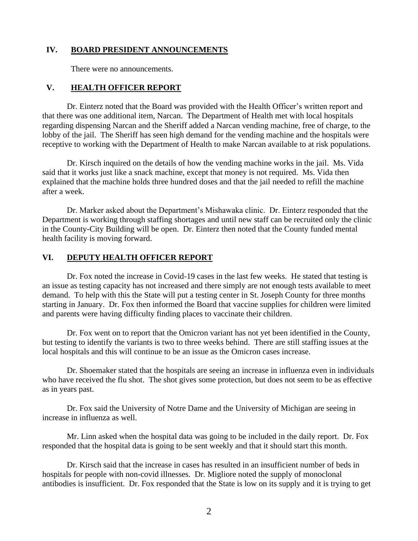## **IV. BOARD PRESIDENT ANNOUNCEMENTS**

There were no announcements.

### **V. HEALTH OFFICER REPORT**

Dr. Einterz noted that the Board was provided with the Health Officer's written report and that there was one additional item, Narcan. The Department of Health met with local hospitals regarding dispensing Narcan and the Sheriff added a Narcan vending machine, free of charge, to the lobby of the jail. The Sheriff has seen high demand for the vending machine and the hospitals were receptive to working with the Department of Health to make Narcan available to at risk populations.

Dr. Kirsch inquired on the details of how the vending machine works in the jail. Ms. Vida said that it works just like a snack machine, except that money is not required. Ms. Vida then explained that the machine holds three hundred doses and that the jail needed to refill the machine after a week.

Dr. Marker asked about the Department's Mishawaka clinic. Dr. Einterz responded that the Department is working through staffing shortages and until new staff can be recruited only the clinic in the County-City Building will be open. Dr. Einterz then noted that the County funded mental health facility is moving forward.

## **VI. DEPUTY HEALTH OFFICER REPORT**

Dr. Fox noted the increase in Covid-19 cases in the last few weeks. He stated that testing is an issue as testing capacity has not increased and there simply are not enough tests available to meet demand. To help with this the State will put a testing center in St. Joseph County for three months starting in January. Dr. Fox then informed the Board that vaccine supplies for children were limited and parents were having difficulty finding places to vaccinate their children.

Dr. Fox went on to report that the Omicron variant has not yet been identified in the County, but testing to identify the variants is two to three weeks behind. There are still staffing issues at the local hospitals and this will continue to be an issue as the Omicron cases increase.

Dr. Shoemaker stated that the hospitals are seeing an increase in influenza even in individuals who have received the flu shot. The shot gives some protection, but does not seem to be as effective as in years past.

Dr. Fox said the University of Notre Dame and the University of Michigan are seeing in increase in influenza as well.

Mr. Linn asked when the hospital data was going to be included in the daily report. Dr. Fox responded that the hospital data is going to be sent weekly and that it should start this month.

Dr. Kirsch said that the increase in cases has resulted in an insufficient number of beds in hospitals for people with non-covid illnesses. Dr. Migliore noted the supply of monoclonal antibodies is insufficient. Dr. Fox responded that the State is low on its supply and it is trying to get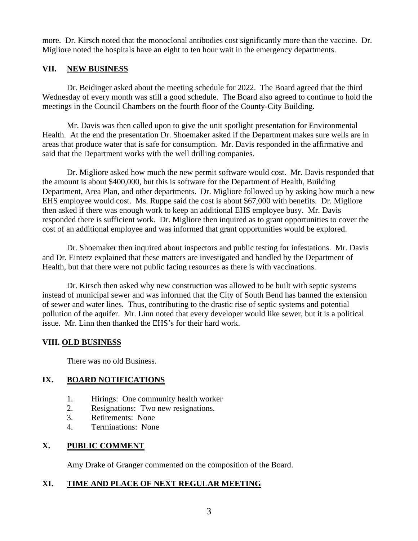more. Dr. Kirsch noted that the monoclonal antibodies cost significantly more than the vaccine. Dr. Migliore noted the hospitals have an eight to ten hour wait in the emergency departments.

# **VII. NEW BUSINESS**

Dr. Beidinger asked about the meeting schedule for 2022. The Board agreed that the third Wednesday of every month was still a good schedule. The Board also agreed to continue to hold the meetings in the Council Chambers on the fourth floor of the County-City Building.

Mr. Davis was then called upon to give the unit spotlight presentation for Environmental Health. At the end the presentation Dr. Shoemaker asked if the Department makes sure wells are in areas that produce water that is safe for consumption. Mr. Davis responded in the affirmative and said that the Department works with the well drilling companies.

Dr. Migliore asked how much the new permit software would cost. Mr. Davis responded that the amount is about \$400,000, but this is software for the Department of Health, Building Department, Area Plan, and other departments. Dr. Migliore followed up by asking how much a new EHS employee would cost. Ms. Ruppe said the cost is about \$67,000 with benefits. Dr. Migliore then asked if there was enough work to keep an additional EHS employee busy. Mr. Davis responded there is sufficient work. Dr. Migliore then inquired as to grant opportunities to cover the cost of an additional employee and was informed that grant opportunities would be explored.

Dr. Shoemaker then inquired about inspectors and public testing for infestations. Mr. Davis and Dr. Einterz explained that these matters are investigated and handled by the Department of Health, but that there were not public facing resources as there is with vaccinations.

Dr. Kirsch then asked why new construction was allowed to be built with septic systems instead of municipal sewer and was informed that the City of South Bend has banned the extension of sewer and water lines. Thus, contributing to the drastic rise of septic systems and potential pollution of the aquifer. Mr. Linn noted that every developer would like sewer, but it is a political issue. Mr. Linn then thanked the EHS's for their hard work.

# **VIII. OLD BUSINESS**

There was no old Business.

# **IX. BOARD NOTIFICATIONS**

- 1. Hirings: One community health worker
- 2. Resignations: Two new resignations.
- 3. Retirements: None
- 4. Terminations: None

# **X. PUBLIC COMMENT**

Amy Drake of Granger commented on the composition of the Board.

# **XI. TIME AND PLACE OF NEXT REGULAR MEETING**